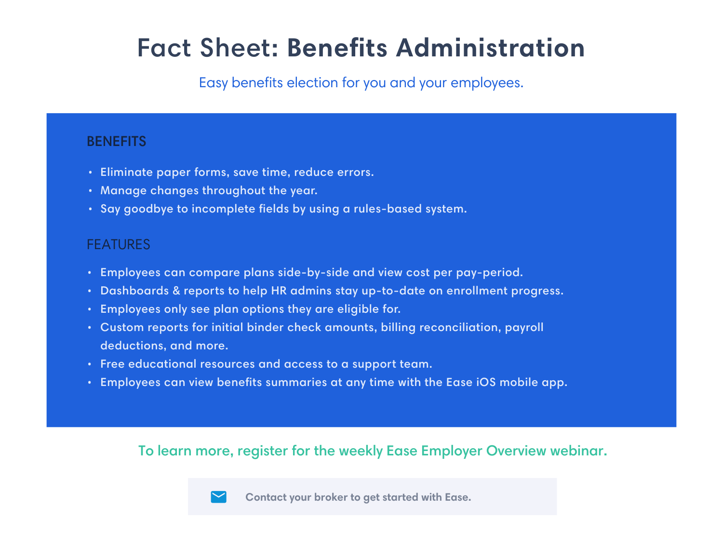# Fact Sheet: **Benefits Administration**

Easy benefits election for you and your employees.

### **BENEFITS**

- Eliminate paper forms, save time, reduce errors. **•**
- Manage changes throughout the year. **•**
- Say goodbye to incomplete fields by using a rules-based system. **•**

- Employees can compare plans side-by-side and view cost per pay-period. **•**
- Dashboards & reports to help HR admins stay up-to-date on enrollment progress. **•**
- Employees only see plan options they are eligible for. **•**
- Custom reports for initial binder check amounts, billing reconciliation, payroll **•** deductions, and more.
- Free educational resources and access to a support team. **•**
- Employees can view benefits summaries at any time with the Ease iOS mobile app. **•**

### FEATURES

#### To learn more, register for the weekly Ease Employer Overview webinar.



**Contact your broker to get started with Ease.**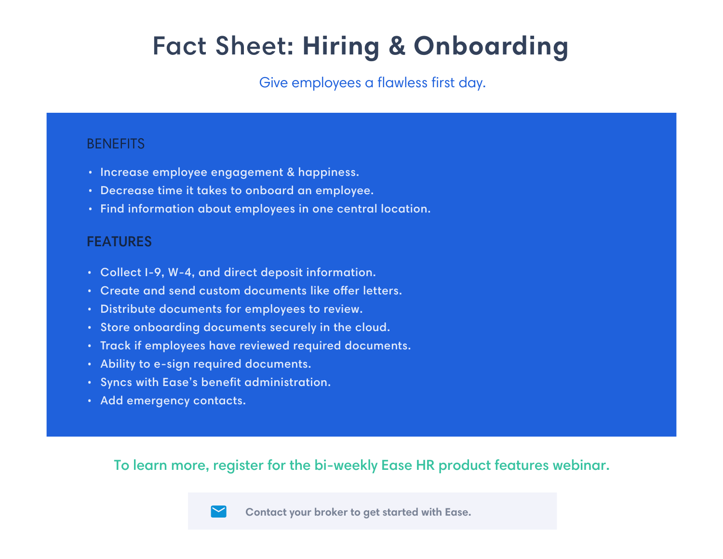# Fact Sheet: **Hiring & Onboarding**

### Give employees a flawless first day.

### **BENEFITS**

- **•** Increase employee engagement & happiness.
- Decrease time it takes to onboard an employee. **•**
- Find information about employees in one central location. **•**

### **FEATURES**

- Collect I-9, W-4, and direct deposit information. **•**
- Create and send custom documents like offer letters.
- Distribute documents for employees to review. **•**
- Store onboarding documents securely in the cloud. **•**
- Track if employees have reviewed required documents. **•**
- Ability to e-sign required documents. **•**
- Syncs with Ease's benefit administration. **•**
- Add emergency contacts. **•**

### To learn more, register for the bi-weekly Ease HR product features webinar.

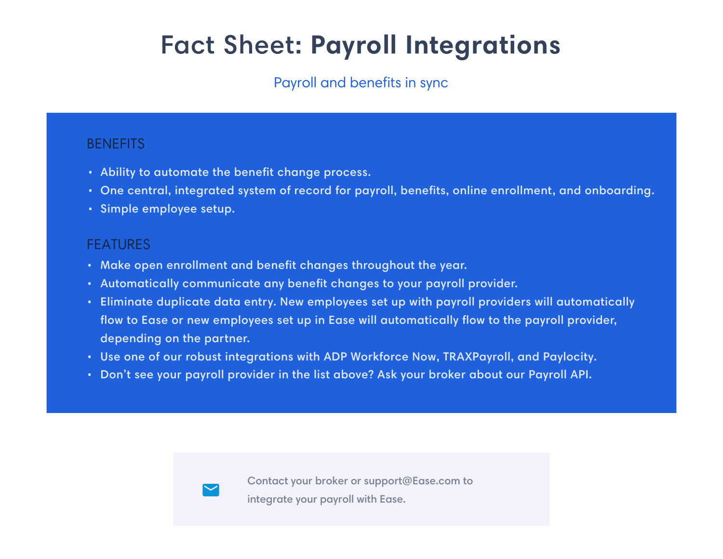# Fact Sheet: **Payroll Integrations**

### Payroll and benefits in sync

### **BENEFITS**

- Ability to automate the benefit change process. **•**
- One central, integrated system of record for payroll, benefits, online enrollment, and onboarding. **•**
- Simple employee setup. **•**

- Make open enrollment and benefit changes throughout the year. **•**
- Automatically communicate any benefit changes to your payroll provider. **•**
- Eliminate duplicate data entry. New employees set up with payroll providers will automatically **•** flow to Ease or new employees set up in Ease will automatically flow to the payroll provider, depending on the partner.
- Use one of our robust integrations with ADP Workforce Now, TRAXPayroll, and Paylocity. **•**
- Don't see your payroll provider in the list above? Ask your broker about our Payroll API. **•**



#### FEATURES

Contact your broker or support@Ease.com to integrate your payroll with Ease.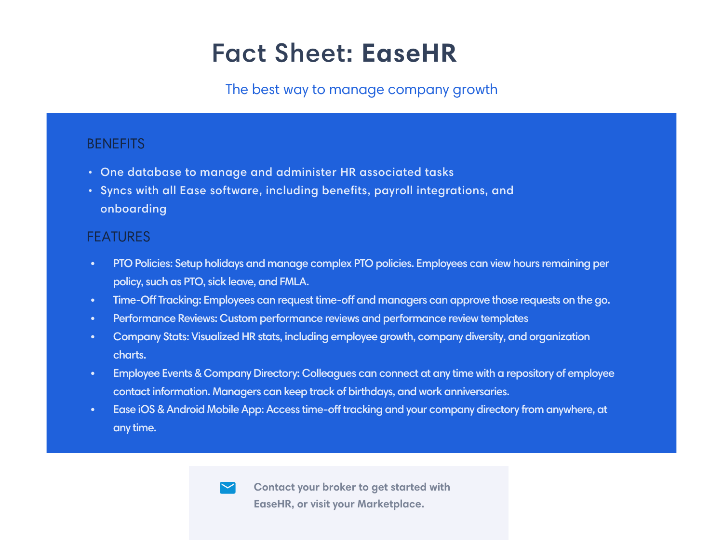# Fact Sheet: **EaseHR**

### The best way to manage company growth

### **BENEFITS**

- One database to manage and administer HR associated tasks **•**
- Syncs with all Ease software, including benefits, payroll integrations, and **•** onboarding

**To learn more, and the bi-contact your broker to get started with** weekly Ease HR product features in the second features of the second features of the second features of the second features of the second features of the second features of the second features of the second features of the **EaseHR, or visit your Marketplace.**



- PTO Policies: Setup holidays and manage complex PTO policies. Employees can view hours remaining per policy, such as PTO, sick leave, and FMLA.
- Time-Off Tracking: Employees can request time-off and managers can approve those requests on the go.
- Performance Reviews: Custom performance reviews and performance review templates
- Company Stats: Visualized HR stats, including employee growth, company diversity, and organization charts.
- Employee Events & Company Directory: Colleagues can connect at any time with a repository of employee contact information. Managers can keep track of birthdays, and work anniversaries.
- Ease iOS & Android Mobile App: Access time-off tracking and your company directory from anywhere, at any time.



### FEATURES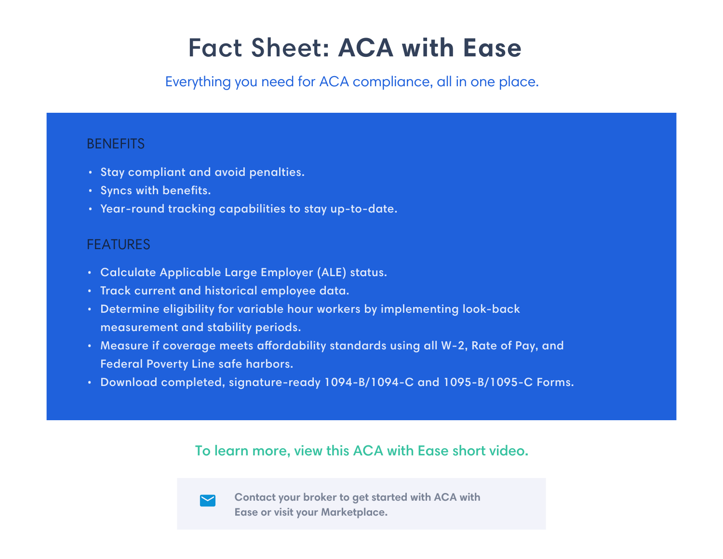# Fact Sheet: **ACA with Ease**

- Stay compliant and avoid penalties. **•**
- **•** Syncs with benefits.
- Year-round tracking capabilities to stay up-to-date.

## Everything you need for ACA compliance, all in one place.

### **BENEFITS**

- Calculate Applicable Large Employer (ALE) status. **•**
- **Track current and historical employee data.**
- Determine eligibility for variable hour workers by implementing look-back **•** measurement and stability periods.
- Measure if coverage meets affordability standards using all W-2, Rate of Pay, and Federal Poverty Line safe harbors.
- Download completed, signature-ready 1094-B/1094-C and 1095-B/1095-C Forms. **•**

### FEATURES

### To learn more, view this ACA with Ease short video.



**Contact your broker to get started with ACA with Ease or visit your Marketplace.**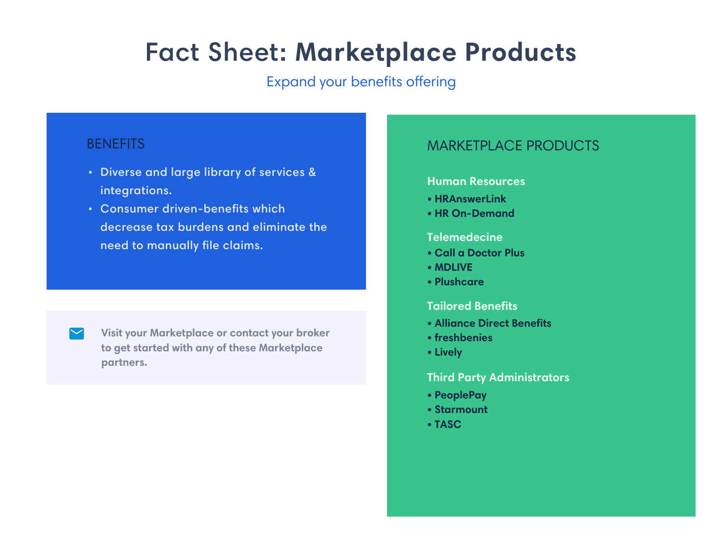# Fact Sheet: **Marketplace Products**

Expand your benefits offering

### **BENEFITS**

- Diverse and large library of services & **•** integrations.
- Consumer driven-benefits which **•** decrease tax burdens and eliminate the need to manually file claims.



#### **Human Resources**

- **HRAnswerLink**
- **HR On-Demand**

- **Call a Doctor Plus**
- **MDLIVE**
- **Plushcare**

- **Alliance Direct Benefits**
- **freshbenies**
- **Lively**

- **PeoplePay**
- **Starmount**
- **TASC**

#### **Tailored Benefits**

#### **Telemedecine**

#### **Third Party Administrators**

### MARKETPLACE PRODUCTS

**Visit your Marketplace or contact your broker to get started with any of these Marketplace partners.**